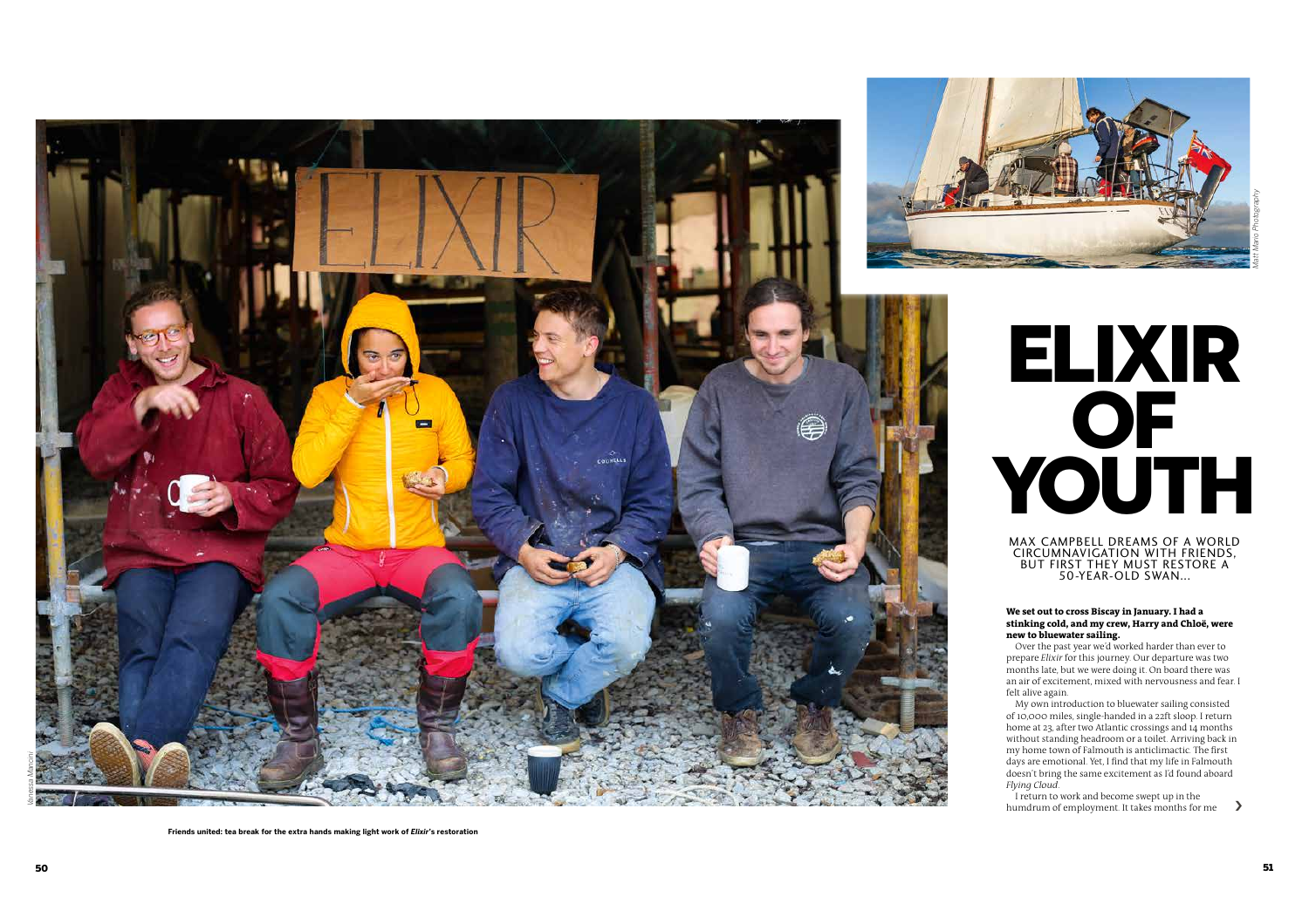

# ELIXIR **OF** YOUTH

MAX CAMPBELL DREAMS OF A WORLD CIRCUMNAVIGATION WITH FRIENDS, BUT FIRST THEY MUST RESTORE A 50-YEAR-OLD SWAN...

#### **We set out to cross Biscay in January. I had a stinking cold, and my crew, Harry and Chloë, were new to bluewater sailing.**

Over the past year we'd worked harder than ever to prepare *Elixir* for this journey. Our departure was two months late, but we were doing it. On board there was an air of excitement, mixed with nervousness and fear. I felt alive again.

My own introduction to bluewater sailing consisted of 10,000 miles, single-handed in a 22ft sloop. I return home at 23, after two Atlantic crossings and 14 months without standing headroom or a toilet. Arriving back in my home town of Falmouth is anticlimactic. The first days are emotional. Yet, I find that my life in Falmouth doesn't bring the same excitement as I'd found aboard *Flying Cloud*.

I return to work and become swept up in the humdrum of employment. It takes months for me  $\qquad$ 

**Friends united: tea break for the extra hands making light work of** *Elixir***'s restoration**

*Matt Mario Photography*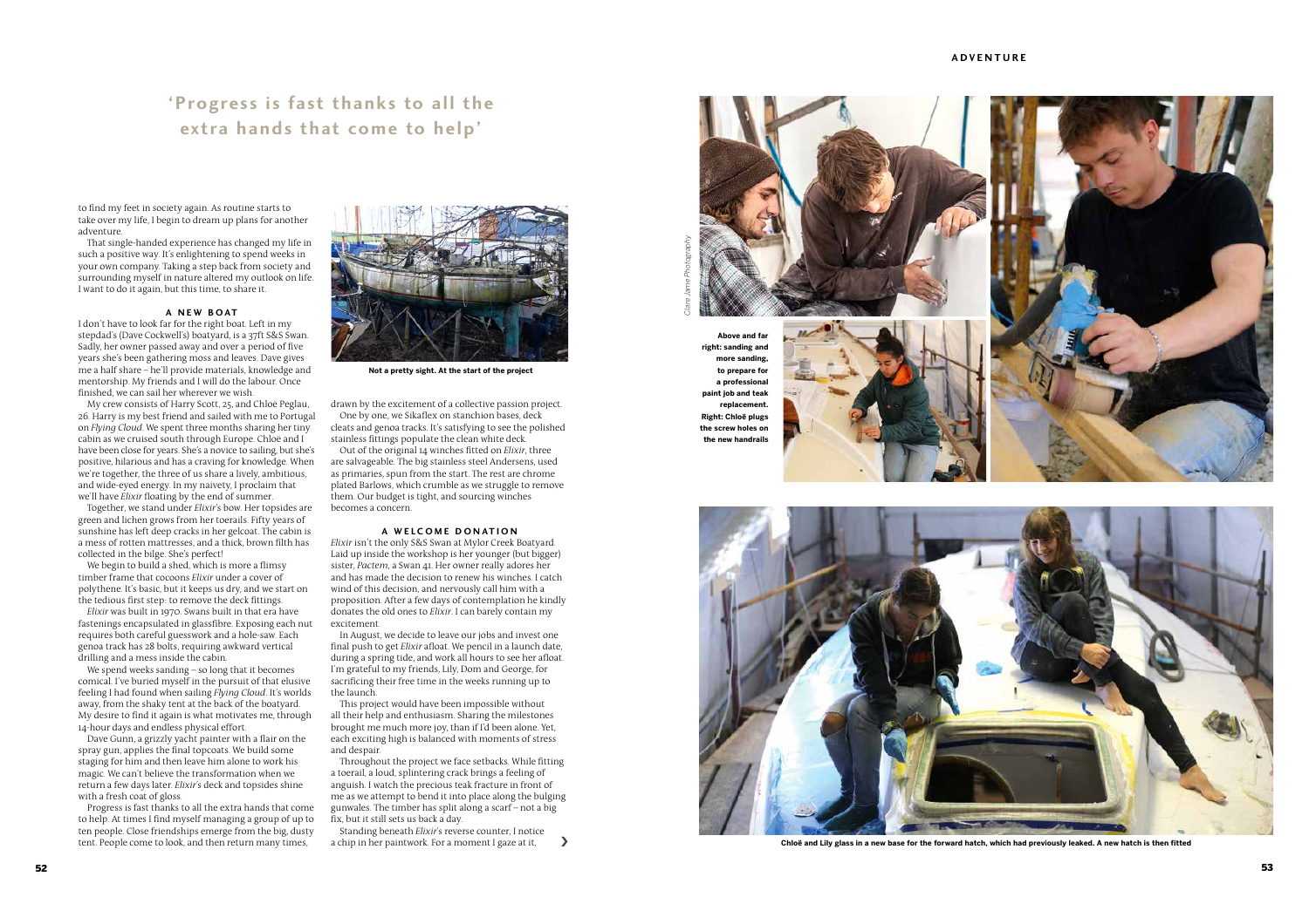# **'Progress is fast thanks to all the extra hands that come to help'**

to find my feet in society again. As routine starts to take over my life, I begin to dream up plans for another adventure.

That single-handed experience has changed my life in such a positive way. It's enlightening to spend weeks in your own company. Taking a step back from society and surrounding myself in nature altered my outlook on life. I want to do it again, but this time, to share it.

# **A NEW BOAT**

I don't have to look far for the right boat. Left in my stepdad's (Dave Cockwell's) boatyard, is a 37ft S&S Swan. Sadly, her owner passed away and over a period of five years she's been gathering moss and leaves. Dave gives me a half share – he'll provide materials, knowledge and mentorship. My friends and I will do the labour. Once finished, we can sail her wherever we wish.

My crew consists of Harry Scott, 25, and Chloë Peglau, 26. Harry is my best friend and sailed with me to Portugal on *Flying Cloud*. We spent three months sharing her tiny cabin as we cruised south through Europe. Chloë and I have been close for years. She's a novice to sailing, but she's positive, hilarious and has a craving for knowledge. When we're together, the three of us share a lively, ambitious, and wide-eyed energy. In my naivety, I proclaim that we'll have *Elixir* floating by the end of summer.

Together, we stand under *Elixir*'s bow. Her topsides are green and lichen grows from her toerails. Fifty years of sunshine has left deep cracks in her gelcoat. The cabin is a mess of rotten mattresses, and a thick, brown filth has collected in the bilge. She's perfect!

We begin to build a shed, which is more a flimsy timber frame that cocoons *Elixir* under a cover of polythene. It's basic, but it keeps us dry, and we start on the tedious first step: to remove the deck fittings.

*Elixir* was built in 1970. Swans built in that era have fastenings encapsulated in glassfibre. Exposing each nut requires both careful guesswork and a hole-saw. Each genoa track has 28 bolts, requiring awkward vertical drilling and a mess inside the cabin.

We spend weeks sanding – so long that it becomes comical. I've buried myself in the pursuit of that elusive feeling I had found when sailing *Flying Cloud*. It's worlds away, from the shaky tent at the back of the boatyard. My desire to find it again is what motivates me, through 14-hour days and endless physical effort.

Dave Gunn, a grizzly yacht painter with a flair on the spray gun, applies the final topcoats. We build some staging for him and then leave him alone to work his magic. We can't believe the transformation when we return a few days later. *Elixir*'s deck and topsides shine with a fresh coat of gloss.

Progress is fast thanks to all the extra hands that come to help. At times I find myself managing a group of up to ten people. Close friendships emerge from the big, dusty tent. People come to look, and then return many times,



**Not a pretty sight. At the start of the project**

drawn by the excitement of a collective passion project. One by one, we Sikaflex on stanchion bases, deck cleats and genoa tracks. It's satisfying to see the polished stainless fittings populate the clean white deck.

Out of the original 14 winches fitted on *Elixir*, three are salvageable. The big stainless steel Andersens, used as primaries, spun from the start. The rest are chrome plated Barlows, which crumble as we struggle to remove them. Our budget is tight, and sourcing winches becomes a concern.

## A WELCOME DONATION

*Elixir* isn't the only S&S Swan at Mylor Creek Boatyard. Laid up inside the workshop is her younger (but bigger) sister, *Pactem*, a Swan 41. Her owner really adores her and has made the decision to renew his winches. I catch wind of this decision, and nervously call him with a proposition. After a few days of contemplation he kindly donates the old ones to *Elixir*. I can barely contain my excitement.

In August, we decide to leave our jobs and invest one final push to get *Elixir* afloat. We pencil in a launch date, during a spring tide, and work all hours to see her afloat. I'm grateful to my friends, Lily, Dom and George, for sacrificing their free time in the weeks running up to the launch.

This project would have been impossible without all their help and enthusiasm. Sharing the milestones brought me much more joy, than if I'd been alone. Yet, each exciting high is balanced with moments of stress and despair.

Throughout the project we face setbacks. While fitting a toerail, a loud, splintering crack brings a feeling of anguish. I watch the precious teak fracture in front of me as we attempt to bend it into place along the bulging gunwales. The timber has split along a scarf – not a big fix, but it still sets us back a day.

Standing beneath *Elixir*'s reverse counter, I notice a chip in her paintwork. For a moment I gaze at it,  $\qquad \qquad \blacktriangleright$ 



**Above and far right: sanding and more sanding, to prepare for a professional paint job and teak replacement. Right: Chloë plugs the screw holes on the new handrails** 

*Clare Jame Photography*







**Chloë and Lily glass in a new base for the forward hatch, which had previously leaked. A new hatch is then fitted**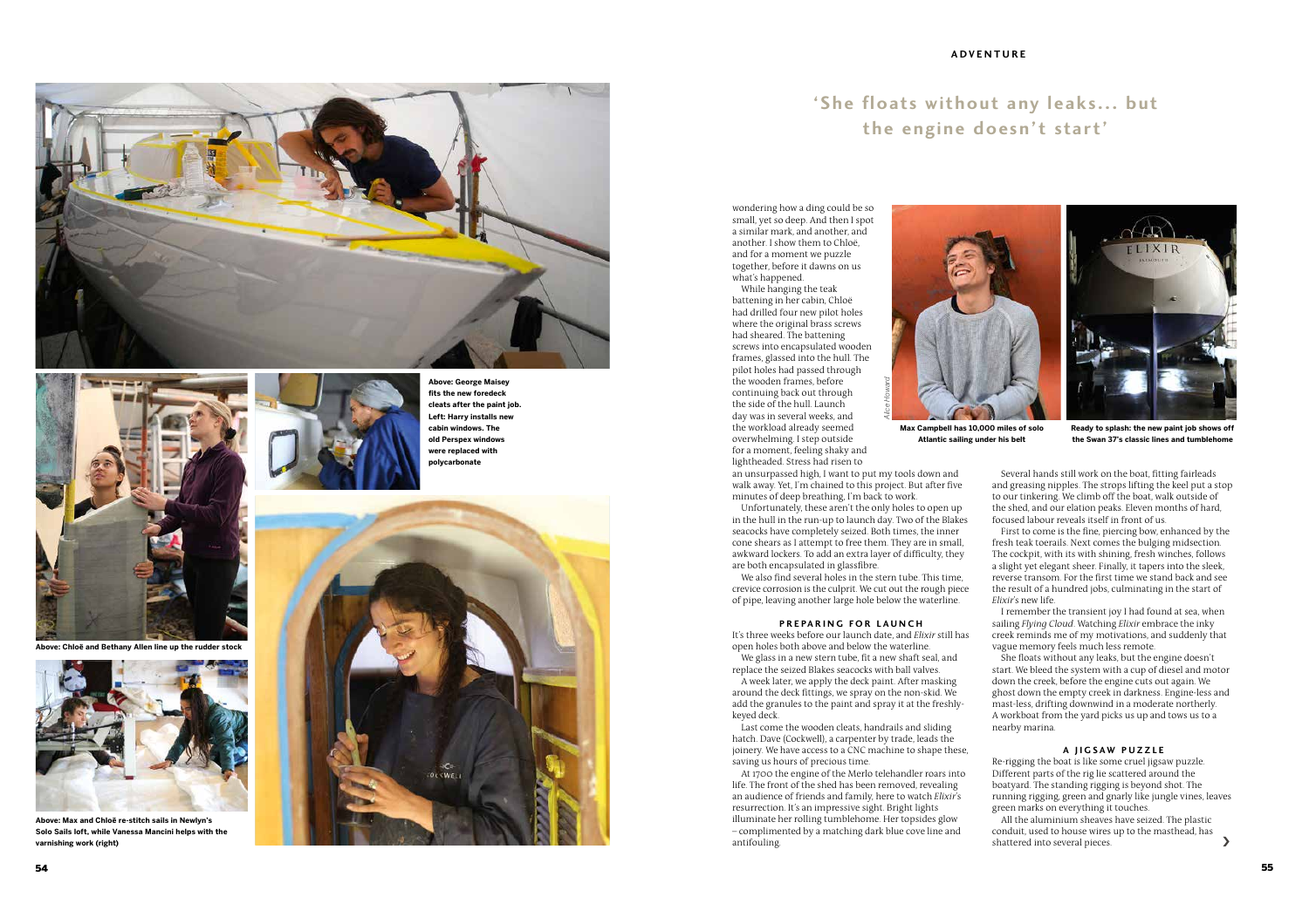



**Above: Chloë and Bethany Allen line up the rudder stock**

**Above: George Maisey fits the new foredeck cleats after the paint job. Left: Harry installs new cabin windows. The old Perspex windows were replaced with polycarbonate**



**Above: Max and Chloë re-stitch sails in Newlyn's Solo Sails loft, while Vanessa Mancini helps with the varnishing work (right)**

# **'She floats without any leaks... but the engine doesn't start'**

wondering how a ding could be so small, yet so deep. And then I spot a similar mark, and another, and another. I show them to Chloë, and for a moment we puzzle together, before it dawns on us what's happened.

While hanging the teak battening in her cabin, Chloë had drilled four new pilot holes where the original brass screws had sheared. The battening screws into encapsulated wooden frames, glassed into the hull. The pilot holes had passed through the wooden frames, before continuing back out through the side of the hull. Launch day was in several weeks, and the workload already seemed overwhelming. I step outside for a moment, feeling shaky and lightheaded. Stress had risen to





**Max Campbell has 10,000 miles of solo Atlantic sailing under his belt**

**Ready to splash: the new paint job shows off the Swan 37's classic lines and tumblehome**

an unsurpassed high, I want to put my tools down and walk away. Yet, I'm chained to this project. But after five minutes of deep breathing, I'm back to work.

*Alice Howard*

Unfortunately, these aren't the only holes to open up in the hull in the run-up to launch day. Two of the Blakes seacocks have completely seized. Both times, the inner cone shears as I attempt to free them. They are in small, awkward lockers. To add an extra layer of difficulty, they are both encapsulated in glassfibre.

We also find several holes in the stern tube. This time, crevice corrosion is the culprit. We cut out the rough piece of pipe, leaving another large hole below the waterline.

#### **PREPARING FOR LAUNCH**

It's three weeks before our launch date, and *Elixir* still has open holes both above and below the waterline. We glass in a new stern tube, fit a new shaft seal, and

replace the seized Blakes seacocks with ball valves. A week later, we apply the deck paint. After masking

around the deck fittings, we spray on the non-skid. We add the granules to the paint and spray it at the freshlykeyed deck.

Last come the wooden cleats, handrails and sliding hatch. Dave (Cockwell), a carpenter by trade, leads the joinery. We have access to a CNC machine to shape these, saving us hours of precious time.

At 1700 the engine of the Merlo telehandler roars into life. The front of the shed has been removed, revealing an audience of friends and family, here to watch *Elixir*'s resurrection. It's an impressive sight. Bright lights illuminate her rolling tumblehome. Her topsides glow – complimented by a matching dark blue cove line and antifouling.

Several hands still work on the boat, fitting fairleads and greasing nipples. The strops lifting the keel put a stop to our tinkering. We climb off the boat, walk outside of the shed, and our elation peaks. Eleven months of hard, focused labour reveals itself in front of us.

First to come is the fine, piercing bow, enhanced by the fresh teak toerails. Next comes the bulging midsection. The cockpit, with its with shining, fresh winches, follows a slight yet elegant sheer. Finally, it tapers into the sleek, reverse transom. For the first time we stand back and see the result of a hundred jobs, culminating in the start of *Elixir*'s new life.

I remember the transient joy I had found at sea, when sailing *Flying Cloud*. Watching *Elixir* embrace the inky creek reminds me of my motivations, and suddenly that vague memory feels much less remote.

She floats without any leaks, but the engine doesn't start. We bleed the system with a cup of diesel and motor down the creek, before the engine cuts out again. We ghost down the empty creek in darkness. Engine-less and mast-less, drifting downwind in a moderate northerly. A workboat from the yard picks us up and tows us to a nearby marina.

# **A JIGSAW PUZZLE**

Re-rigging the boat is like some cruel jigsaw puzzle. Different parts of the rig lie scattered around the boatyard. The standing rigging is beyond shot. The running rigging, green and gnarly like jungle vines, leaves green marks on everything it touches.

All the aluminium sheaves have seized. The plastic conduit, used to house wires up to the masthead, has shattered into several pieces. ›